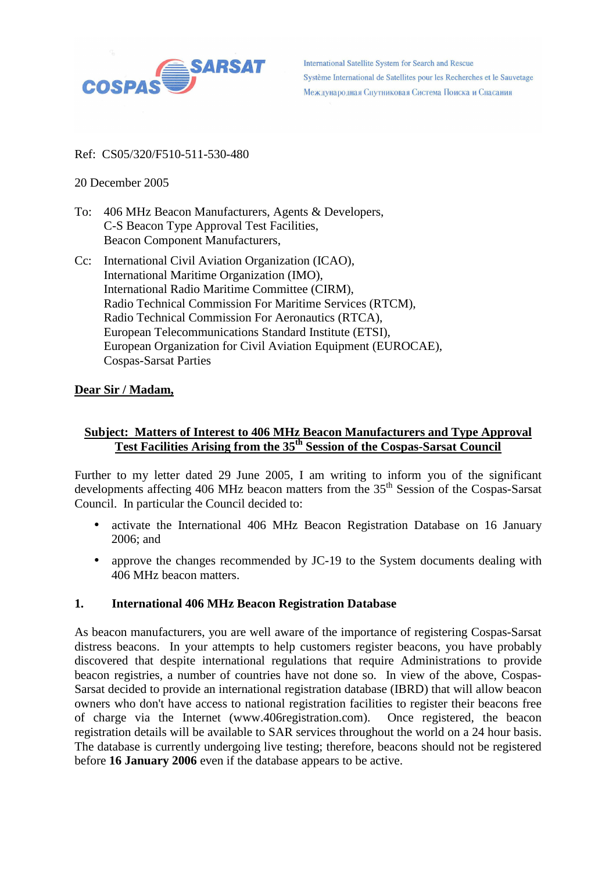

**International Satellite System for Search and Rescue** Système International de Satellites pour les Recherches et le Sauvetage Международная Спутниковая Система Поиска и Спасания

#### Ref: CS05/320/F510-511-530-480

## 20 December 2005

- To: 406 MHz Beacon Manufacturers, Agents & Developers, C-S Beacon Type Approval Test Facilities, Beacon Component Manufacturers,
- Cc: International Civil Aviation Organization (ICAO), International Maritime Organization (IMO), International Radio Maritime Committee (CIRM), Radio Technical Commission For Maritime Services (RTCM), Radio Technical Commission For Aeronautics (RTCA), European Telecommunications Standard Institute (ETSI), European Organization for Civil Aviation Equipment (EUROCAE), Cospas-Sarsat Parties

## **Dear Sir / Madam,**

# **Subject: Matters of Interest to 406 MHz Beacon Manufacturers and Type Approval Test Facilities Arising from the 35th Session of the Cospas-Sarsat Council**

Further to my letter dated 29 June 2005, I am writing to inform you of the significant developments affecting 406 MHz beacon matters from the  $35<sup>th</sup>$  Session of the Cospas-Sarsat Council. In particular the Council decided to:

- activate the International 406 MHz Beacon Registration Database on 16 January 2006; and
- approve the changes recommended by JC-19 to the System documents dealing with 406 MHz beacon matters.

#### **1. International 406 MHz Beacon Registration Database**

As beacon manufacturers, you are well aware of the importance of registering Cospas-Sarsat distress beacons. In your attempts to help customers register beacons, you have probably discovered that despite international regulations that require Administrations to provide beacon registries, a number of countries have not done so. In view of the above, Cospas-Sarsat decided to provide an international registration database (IBRD) that will allow beacon owners who don't have access to national registration facilities to register their beacons free of charge via the Internet (www.406registration.com). Once registered, the beacon registration details will be available to SAR services throughout the world on a 24 hour basis. The database is currently undergoing live testing; therefore, beacons should not be registered before **16 January 2006** even if the database appears to be active.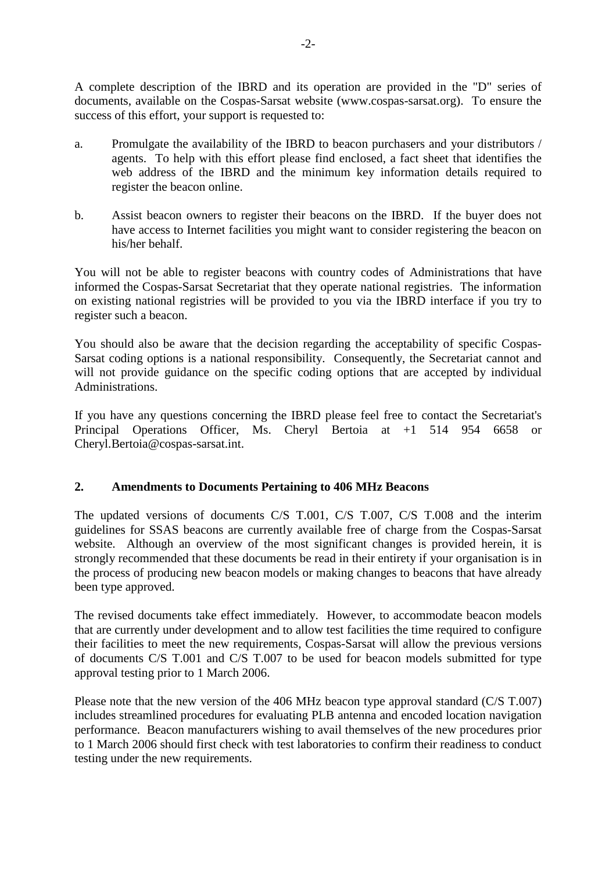A complete description of the IBRD and its operation are provided in the "D" series of documents, available on the Cospas-Sarsat website (www.cospas-sarsat.org). To ensure the success of this effort, your support is requested to:

- a. Promulgate the availability of the IBRD to beacon purchasers and your distributors / agents. To help with this effort please find enclosed, a fact sheet that identifies the web address of the IBRD and the minimum key information details required to register the beacon online.
- b. Assist beacon owners to register their beacons on the IBRD. If the buyer does not have access to Internet facilities you might want to consider registering the beacon on his/her behalf.

You will not be able to register beacons with country codes of Administrations that have informed the Cospas-Sarsat Secretariat that they operate national registries. The information on existing national registries will be provided to you via the IBRD interface if you try to register such a beacon.

You should also be aware that the decision regarding the acceptability of specific Cospas-Sarsat coding options is a national responsibility. Consequently, the Secretariat cannot and will not provide guidance on the specific coding options that are accepted by individual Administrations.

If you have any questions concerning the IBRD please feel free to contact the Secretariat's Principal Operations Officer, Ms. Cheryl Bertoia at +1 514 954 6658 or Cheryl.Bertoia@cospas-sarsat.int.

# **2. Amendments to Documents Pertaining to 406 MHz Beacons**

The updated versions of documents C/S T.001, C/S T.007, C/S T.008 and the interim guidelines for SSAS beacons are currently available free of charge from the Cospas-Sarsat website. Although an overview of the most significant changes is provided herein, it is strongly recommended that these documents be read in their entirety if your organisation is in the process of producing new beacon models or making changes to beacons that have already been type approved.

The revised documents take effect immediately. However, to accommodate beacon models that are currently under development and to allow test facilities the time required to configure their facilities to meet the new requirements, Cospas-Sarsat will allow the previous versions of documents C/S T.001 and C/S T.007 to be used for beacon models submitted for type approval testing prior to 1 March 2006.

Please note that the new version of the 406 MHz beacon type approval standard (C/S T.007) includes streamlined procedures for evaluating PLB antenna and encoded location navigation performance. Beacon manufacturers wishing to avail themselves of the new procedures prior to 1 March 2006 should first check with test laboratories to confirm their readiness to conduct testing under the new requirements.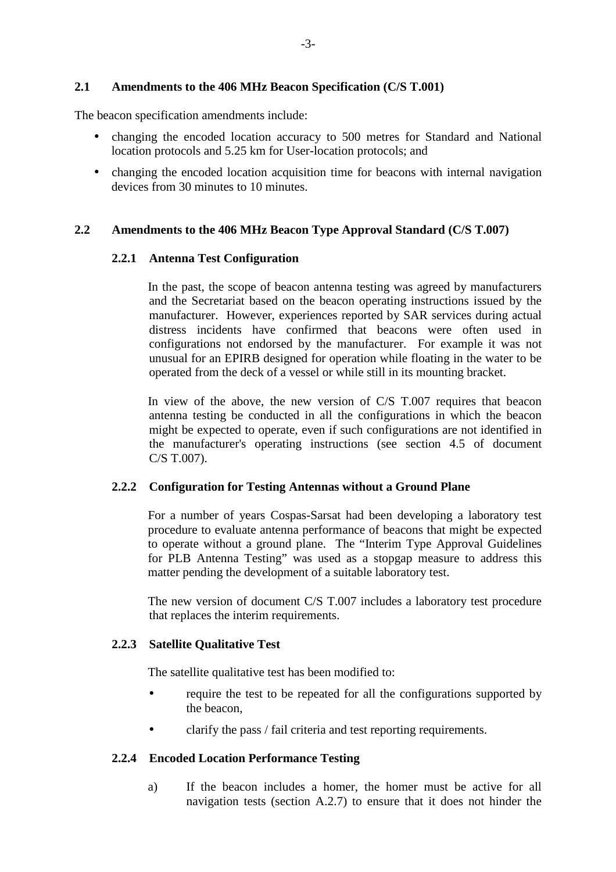#### **2.1 Amendments to the 406 MHz Beacon Specification (C/S T.001)**

The beacon specification amendments include:

- changing the encoded location accuracy to 500 metres for Standard and National location protocols and 5.25 km for User-location protocols; and
- changing the encoded location acquisition time for beacons with internal navigation devices from 30 minutes to 10 minutes.

## **2.2 Amendments to the 406 MHz Beacon Type Approval Standard (C/S T.007)**

#### **2.2.1 Antenna Test Configuration**

In the past, the scope of beacon antenna testing was agreed by manufacturers and the Secretariat based on the beacon operating instructions issued by the manufacturer. However, experiences reported by SAR services during actual distress incidents have confirmed that beacons were often used in configurations not endorsed by the manufacturer. For example it was not unusual for an EPIRB designed for operation while floating in the water to be operated from the deck of a vessel or while still in its mounting bracket.

In view of the above, the new version of C/S T.007 requires that beacon antenna testing be conducted in all the configurations in which the beacon might be expected to operate, even if such configurations are not identified in the manufacturer's operating instructions (see section 4.5 of document C/S T.007).

#### **2.2.2 Configuration for Testing Antennas without a Ground Plane**

For a number of years Cospas-Sarsat had been developing a laboratory test procedure to evaluate antenna performance of beacons that might be expected to operate without a ground plane. The "Interim Type Approval Guidelines for PLB Antenna Testing" was used as a stopgap measure to address this matter pending the development of a suitable laboratory test.

The new version of document C/S T.007 includes a laboratory test procedure that replaces the interim requirements.

#### **2.2.3 Satellite Qualitative Test**

The satellite qualitative test has been modified to:

- require the test to be repeated for all the configurations supported by the beacon,
- clarify the pass / fail criteria and test reporting requirements.

#### **2.2.4 Encoded Location Performance Testing**

a) If the beacon includes a homer, the homer must be active for all navigation tests (section A.2.7) to ensure that it does not hinder the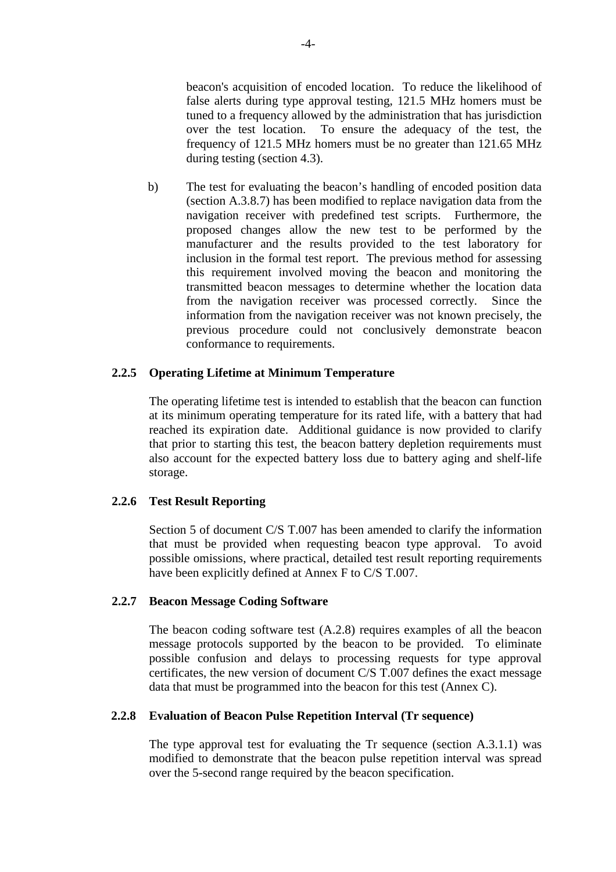beacon's acquisition of encoded location. To reduce the likelihood of false alerts during type approval testing, 121.5 MHz homers must be tuned to a frequency allowed by the administration that has jurisdiction over the test location. To ensure the adequacy of the test, the frequency of 121.5 MHz homers must be no greater than 121.65 MHz during testing (section 4.3).

b) The test for evaluating the beacon's handling of encoded position data (section A.3.8.7) has been modified to replace navigation data from the navigation receiver with predefined test scripts. Furthermore, the proposed changes allow the new test to be performed by the manufacturer and the results provided to the test laboratory for inclusion in the formal test report. The previous method for assessing this requirement involved moving the beacon and monitoring the transmitted beacon messages to determine whether the location data from the navigation receiver was processed correctly. Since the information from the navigation receiver was not known precisely, the previous procedure could not conclusively demonstrate beacon conformance to requirements.

## **2.2.5 Operating Lifetime at Minimum Temperature**

The operating lifetime test is intended to establish that the beacon can function at its minimum operating temperature for its rated life, with a battery that had reached its expiration date. Additional guidance is now provided to clarify that prior to starting this test, the beacon battery depletion requirements must also account for the expected battery loss due to battery aging and shelf-life storage.

#### **2.2.6 Test Result Reporting**

Section 5 of document C/S T.007 has been amended to clarify the information that must be provided when requesting beacon type approval. To avoid possible omissions, where practical, detailed test result reporting requirements have been explicitly defined at Annex F to C/S T.007.

#### **2.2.7 Beacon Message Coding Software**

The beacon coding software test  $(A.2.8)$  requires examples of all the beacon message protocols supported by the beacon to be provided. To eliminate possible confusion and delays to processing requests for type approval certificates, the new version of document C/S T.007 defines the exact message data that must be programmed into the beacon for this test (Annex C).

# **2.2.8 Evaluation of Beacon Pulse Repetition Interval (Tr sequence)**

The type approval test for evaluating the Tr sequence (section A.3.1.1) was modified to demonstrate that the beacon pulse repetition interval was spread over the 5-second range required by the beacon specification.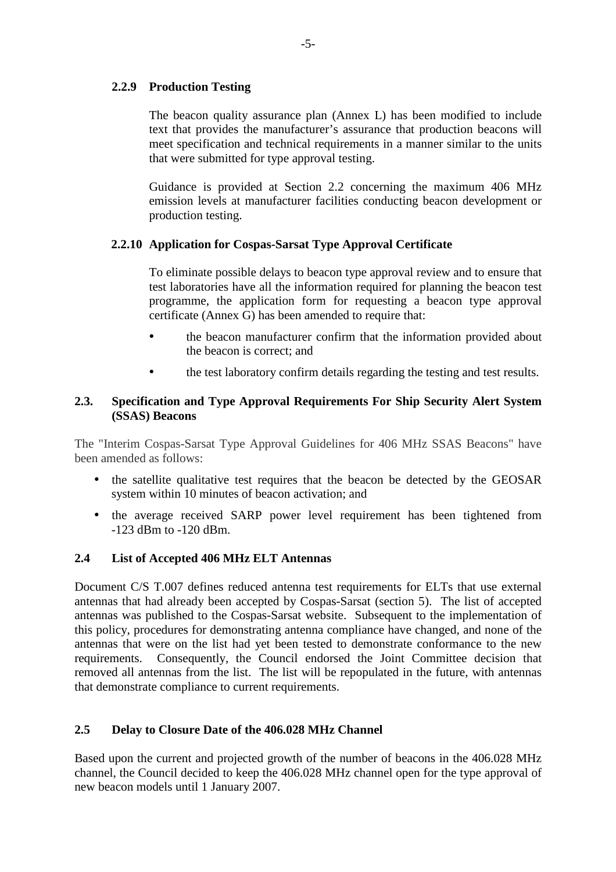# **2.2.9 Production Testing**

The beacon quality assurance plan (Annex L) has been modified to include text that provides the manufacturer's assurance that production beacons will meet specification and technical requirements in a manner similar to the units that were submitted for type approval testing.

Guidance is provided at Section 2.2 concerning the maximum 406 MHz emission levels at manufacturer facilities conducting beacon development or production testing.

# **2.2.10 Application for Cospas-Sarsat Type Approval Certificate**

To eliminate possible delays to beacon type approval review and to ensure that test laboratories have all the information required for planning the beacon test programme, the application form for requesting a beacon type approval certificate (Annex G) has been amended to require that:

- the beacon manufacturer confirm that the information provided about the beacon is correct; and
- the test laboratory confirm details regarding the testing and test results.

# **2.3. Specification and Type Approval Requirements For Ship Security Alert System (SSAS) Beacons**

The "Interim Cospas-Sarsat Type Approval Guidelines for 406 MHz SSAS Beacons" have been amended as follows:

- the satellite qualitative test requires that the beacon be detected by the GEOSAR system within 10 minutes of beacon activation; and
- the average received SARP power level requirement has been tightened from -123 dBm to -120 dBm.

# **2.4 List of Accepted 406 MHz ELT Antennas**

Document C/S T.007 defines reduced antenna test requirements for ELTs that use external antennas that had already been accepted by Cospas-Sarsat (section 5). The list of accepted antennas was published to the Cospas-Sarsat website. Subsequent to the implementation of this policy, procedures for demonstrating antenna compliance have changed, and none of the antennas that were on the list had yet been tested to demonstrate conformance to the new requirements. Consequently, the Council endorsed the Joint Committee decision that removed all antennas from the list. The list will be repopulated in the future, with antennas that demonstrate compliance to current requirements.

# **2.5 Delay to Closure Date of the 406.028 MHz Channel**

Based upon the current and projected growth of the number of beacons in the 406.028 MHz channel, the Council decided to keep the 406.028 MHz channel open for the type approval of new beacon models until 1 January 2007.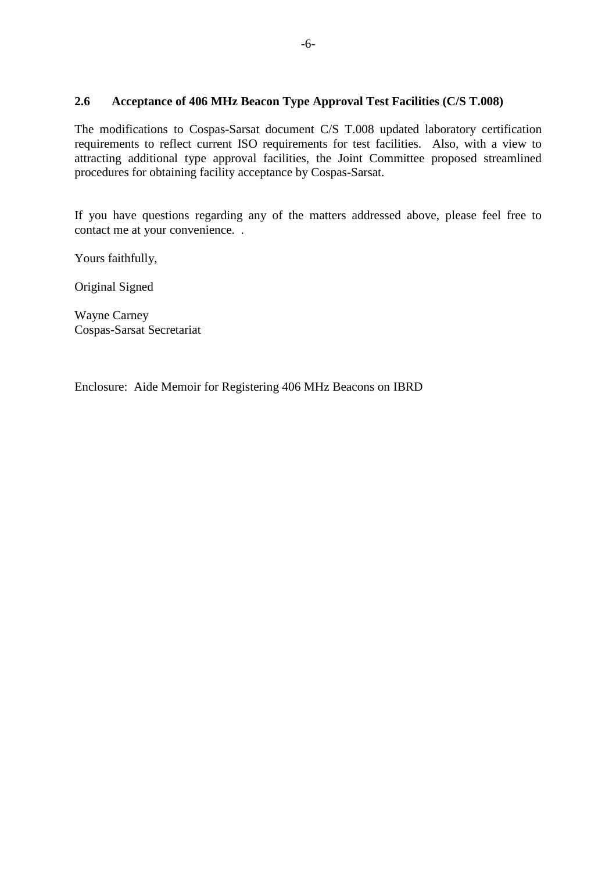# **2.6 Acceptance of 406 MHz Beacon Type Approval Test Facilities (C/S T.008)**

The modifications to Cospas-Sarsat document C/S T.008 updated laboratory certification requirements to reflect current ISO requirements for test facilities. Also, with a view to attracting additional type approval facilities, the Joint Committee proposed streamlined procedures for obtaining facility acceptance by Cospas-Sarsat.

If you have questions regarding any of the matters addressed above, please feel free to contact me at your convenience. .

Yours faithfully,

Original Signed

Wayne Carney Cospas-Sarsat Secretariat

Enclosure: Aide Memoir for Registering 406 MHz Beacons on IBRD